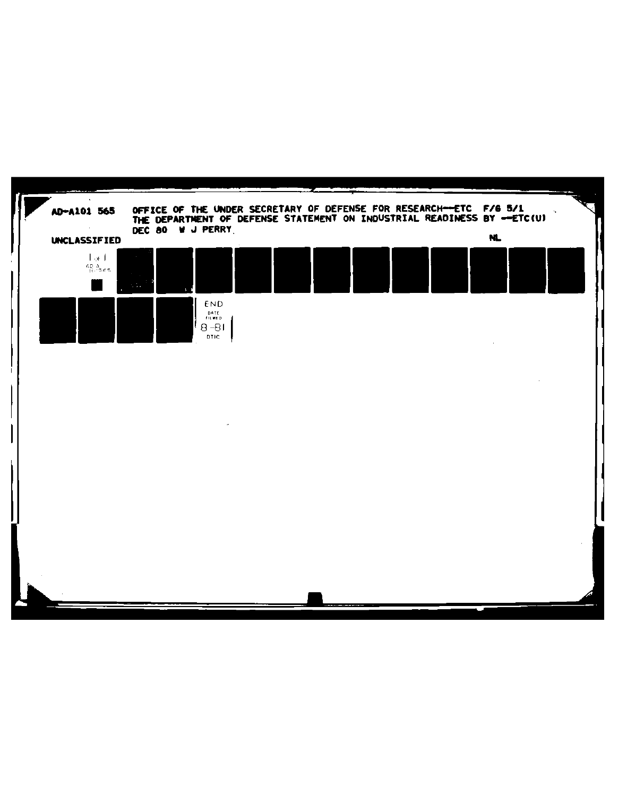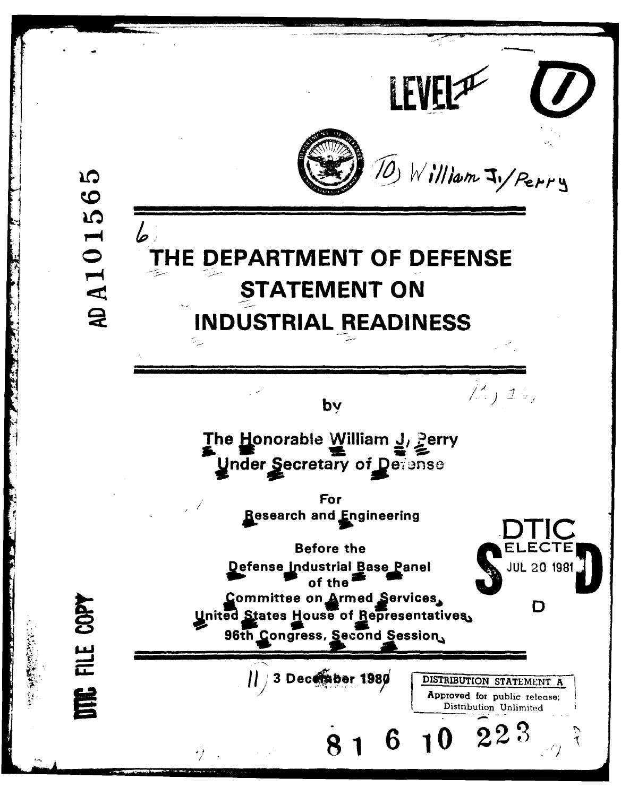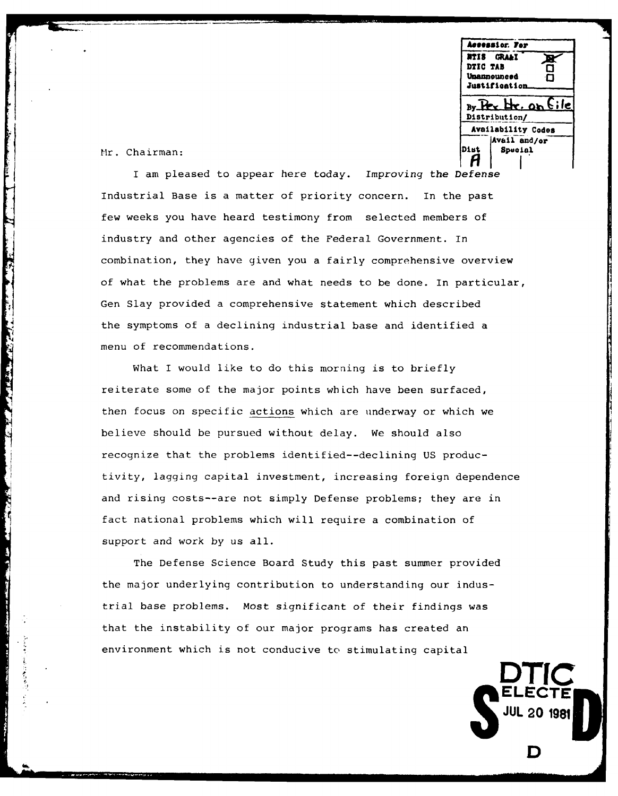**Accessior. Fe NTIS GRMA& DTIS GRAAL**<br>DTIC TAB <del>Q</del> **Unannounced .0 Justiftiation**  $By$   $Bx$   $Hx$ , on file **Distribution/ Availability Codes Aviil: and/or** Mr. Chairman: **District Spuala**l Spualal Pierre (District Spualal Spualal Spualal Spuala)

**ELECTE**

**JUL 20 1981**

**D**

The company of the company of the company of the company of the company of the company of the company of the company of the company of the company of the company of the company of the company of the company of the company

**September** 

ŀ.

I am pleased to appear here today. Improving the Defense Industrial Base is a matter of priority concern. In the past few weeks you have heard testimony from selected members of industry and other agencies of the Federal Government. In combination, they have given you a fairly comprehensive overview of what the problems are and what needs to be done. In particular, Gen Slay provided a comprehensive statement which described the symptoms of a declining industrial base and identified a menu of recommendations.

What I would like to do this morning is to briefly reiterate some of the major points which have been surfaced, then focus on specific actions which are underway or which we believe should be pursued without delay. We should also recognize that the problems identified--declining US productivity, lagging capital investment, increasing foreign dependence and rising costs--are not simply Defense problems; they are in fact national problems which will require a combination of support and work by us all.

The Defense Science Board Study this past summer provided the major underlying contribution to understanding our industrial base problems. Most significant of their findings was that the instability of our major programs has created an environment which is not conducive to stimulating capital **' DTIC**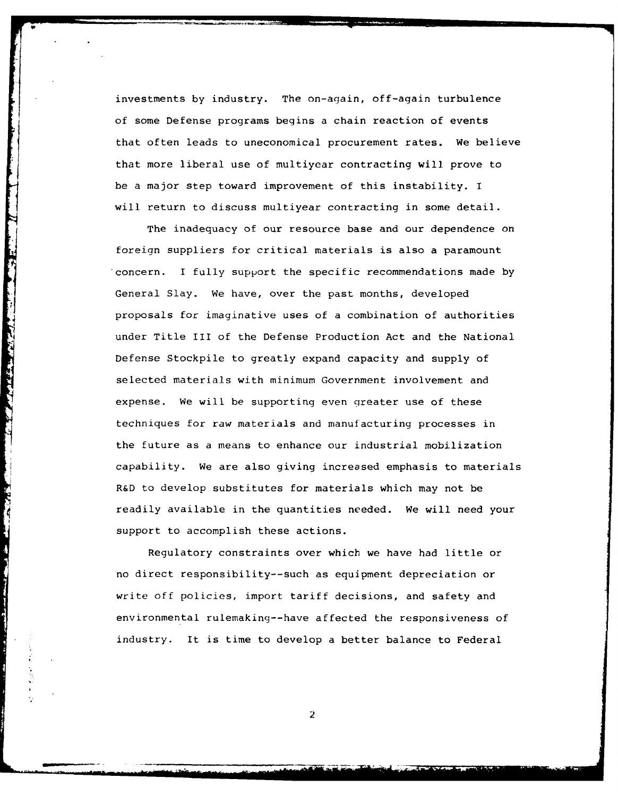investments by industry. The on-again, off-again turbulence of some Defense programs begins a chain reaction of events that often leads to uneconomical procurement rates. We believe that more liberal use of multiyear contracting will prove to be a major step toward improvement of this instability. I will return to discuss multiyear contracting in some detail.

The inadequacy of our resource base and our dependence on foreign suppliers for critical materials is also a paramount concern. I fully support the specific recommendations made by General Slay. We have, over the past months, developed proposals for imaginative uses of a combination of authorities under Title III of the Defense Production Act and the National Defense Stockpile to greatly expand capacity and supply of selected materials with minimum Government involvement and expense. We will be supporting even greater use of these techniques for raw materials and manufacturing processes in the future as a means to enhance our industrial mobilization capability. We are also giving increased emphasis to materials R&D to develop substitutes for materials which may not be readily available in the quantities needed. We will need your support to accomplish these actions.

**The Same Company of Campbell** 

Regulatory constraints over which we have had little or no direct responsibility--such as equipment depreciation or write off policies, import tariff decisions, and safety and environmental rulemaking--have affected the responsiveness of industry. It is time to develop a better balance to Federal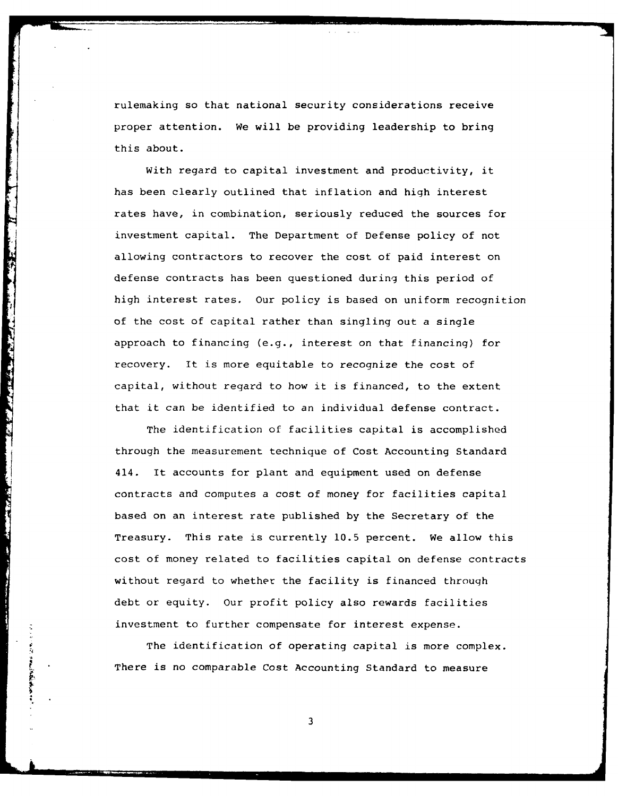rulemaking so that national security considerations receive proper attention. We will be providing leadership to bring this about.

With regard to capital investment and productivity, it has been clearly outlined that inflation and high interest rates have, in combination, seriously reduced the sources for investment capital. The Department of Defense policy of not allowing contractors to recover the cost of paid interest on defense contracts has been questioned during this period of high interest rates. Our policy is based on uniform recognition of the cost of capital rather than singling out a single approach to financing (e.g., interest on that financing) for recovery. It is more equitable to recognize the cost of capital, without regard to how it is financed, to the extent that it can be identified to an individual defense contract.

中心 医阿拉伯氏病

The identification of facilities capital is accomplished through the measurement technique of Cost Accounting Standard 414. It accounts for plant and equipment used on defense contracts and computes a cost of money for facilities capital based on an interest rate published by the Secretary of the Treasury. This rate is currently 10.5 percent. We allow this cost of money related to facilities capital on defense contracts without regard to whether the facility is financed through debt or equity. Our profit policy also rewards facilities investment to further compensate for interest expense.

The identification of operating capital is more complex. There is no comparable Cost Accounting Standard to measure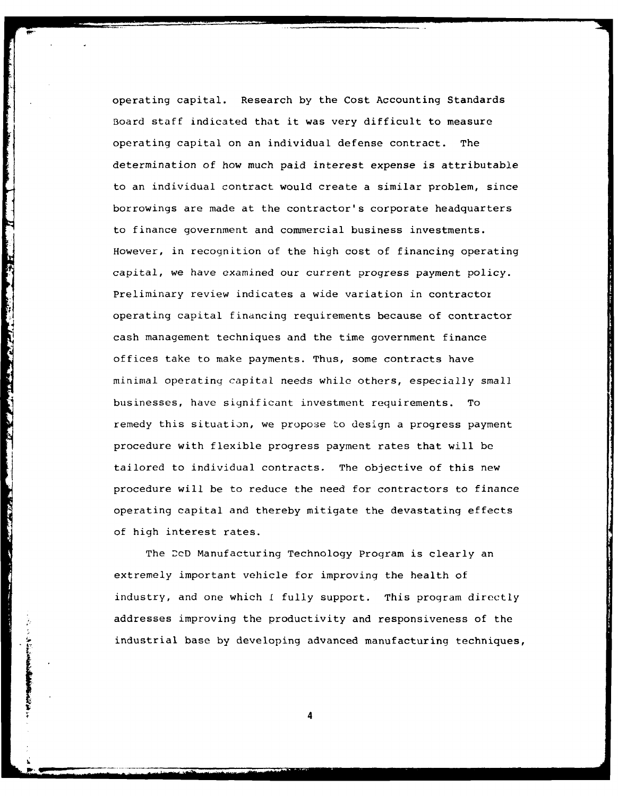operating capital. Research by the Cost Accounting Standards Board staff indicated that it was very difficult to measure operating capital on an individual defense contract. The determination of how much paid interest expense is attributable to an individual contract would create a similar problem, since borrowings are made at the contractor's corporate headquarters to finance government and commercial business investments. However, in recognition of the high cost of financing operating capital, we have examined our current progress payment policy. Preliminary review indicates a wide variation in contractor operating capital financing requirements because of contractor cash management techniques and the time government finance offices take to make payments. Thus, some contracts have minimal operating capital needs while others, especially small businesses, have significant investment requirements. To remedy this situation, we propose to design a progress payment procedure with flexible progress payment rates that will be tailored to individual contracts. The objective of this new procedure will be to reduce the need for contractors to finance operating capital and thereby mitigate the devastating effects of high interest rates.

The DcD Manufacturing Technology Program is clearly an extremely important vehicle for improving the health of industry, and one which **I** fully support. This program directly addresses improving the productivity and responsiveness of the industrial base by developing advanced manufacturing techniques,

**I4**

Marian Barat Company and Company and Company and Company and

**Solution of the Contract of Society and Society and Society and Society and Society and Society and Society and Society and Society and Society and Society and Society and Society and Society and Society and Society and S**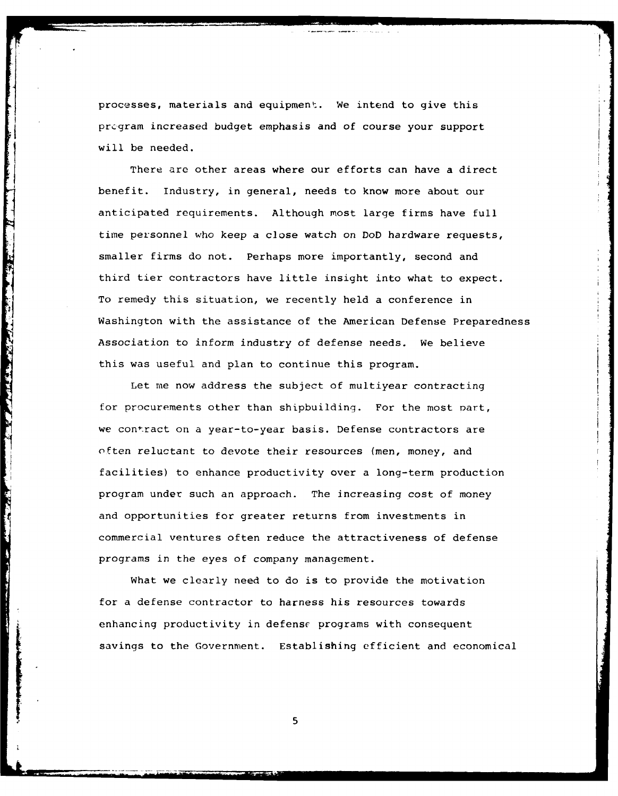processes, materials and equipment. We intend to give this prcgram increased budget emphasis and of course your support will be needed.

There are other areas where our efforts can have a direct benefit. Industry, in general, needs to know more about our anticipated requirements. Although most large firms have full time personnel who keep a close watch on DoD hardware requests, smaller firms do not. Perhaps more importantly, second and third tier contractors have little insight into what to expect. To remedy this situation, we recently held a conference in Washington with the assistance of the American Defense Preparedness Association to inform industry of defense needs. We believe this was useful and plan to continue this program.

**Communication** 

**AMERICAN CAPTAIN** 

Let me now address the subject of multiyear contracting for procurements other than shipbuilding. For the most part, we contract on a year-to-year basis. Defense contractors are often reluctant to devote their resources (men, money, and facilities) to enhance productivity over a long-term production program under such an approach. The increasing cost of money and opportunities for greater returns from investments in commercial ventures often reduce the attractiveness of defense programs in the eyes of company management.

What we clearly need to do is to provide the motivation for a defense contractor to harness his resources towards enhancing productivity in defense programs with consequent savings to the Government. Establishing efficient and economical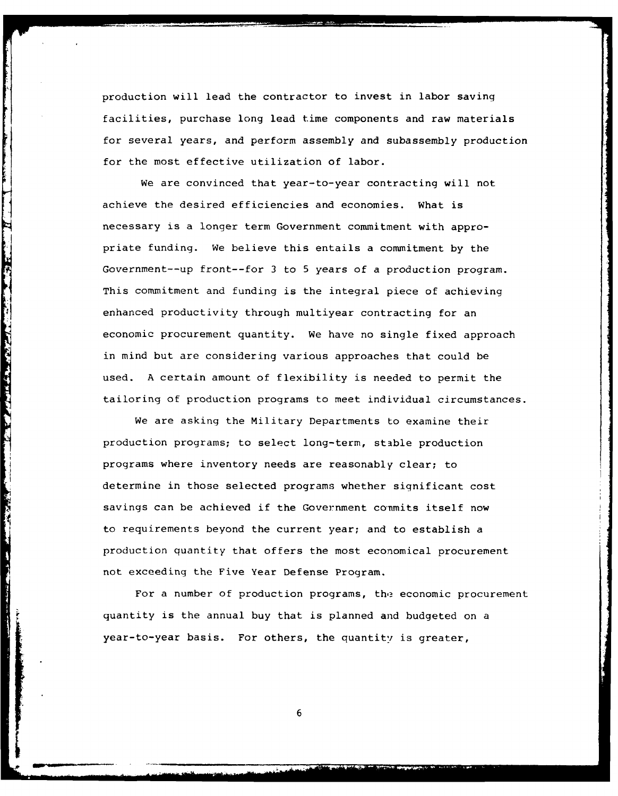production will lead the contractor to invest in labor saving facilities, purchase long lead time components and raw materials for several years, and perform assembly and subassembly production for the most effective utilization of labor.

We are convinced that year-to-year contracting will not achieve the desired efficiencies and economies. What is necessary is a longer term Government commitment with appropriate funding. We believe this entails a commitment by the Government--up front--for 3 to 5 years of a production program. This commitment and funding is the integral piece of achieving enhanced productivity through multiyear contracting for an economic procurement quantity. We have no single fixed approach in mind but are considering various approaches that could be used. A certain amount of flexibility is needed to permit the tailoring of production programs to meet individual circumstances.

**THE R. P. P. LEWIS CO., LANSING MICH.** 

We are asking the Military Departments to examine their production programs; to select long-term, stable production programs where inventory needs are reasonably clear; to determine in those selected programs whether significant cost savings can be achieved if the Government commits itself now to requirements beyond the current year; and to establish a production quantity that offers the most economical procurement not exceeding the Five Year Defense Program.

For a number of production programs, the economic procurement quantity is the annual buy that is planned and budgeted on a year-to-year basis. For others, the quantity is greater,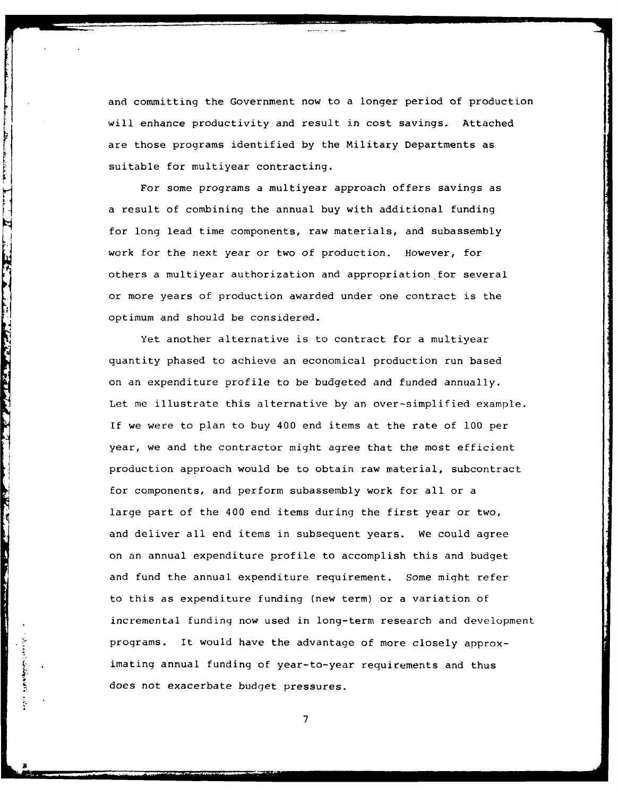and committing the Government now to a longer period of production will enhance productivity and result in cost savings. Attached are those programs identified by the Military Departments as suitable for multiyear contracting.

For some programs a multiyear approach offers savings as a result of combining the annual buy with additional funding for long lead time components, raw materials, and subassembly work for the next year or two of production. However, for others a multiyear authorization and appropriation for several or more years of production awarded under one contract is the optimum and should be considered.

 $\mathbf{r}$ 

Ħ

THE TAILER OF THE TABLE

*PARTIES* 

Yet another alternative is to contract for a multiyear quantity phased to achieve an economical production run based on an expenditure profile to be budgeted and funded annually. Let me illustrate this alternative by an over-simplified example. If we were to plan to buy 400 end items at the rate of **100** per year, we and the contractor might agree that the most efficient production approach would be to obtain raw material, subcontract for components, and perform subassembly work for all or a large part of the 400 end items during the first year or two, and deliver all end items in subsequent years. We could agree on an annual expenditure profile to accomplish this and budget and fund the annual expenditure requirement. Some might refer to this as expenditure funding (new term) or a variation of incremental funding now used in long-term research and development programs. It would have the advantage of more closely approximating annual funding of year-to-year requirements and thus does not exacerbate budget pressures.

**<sup>7</sup> B-**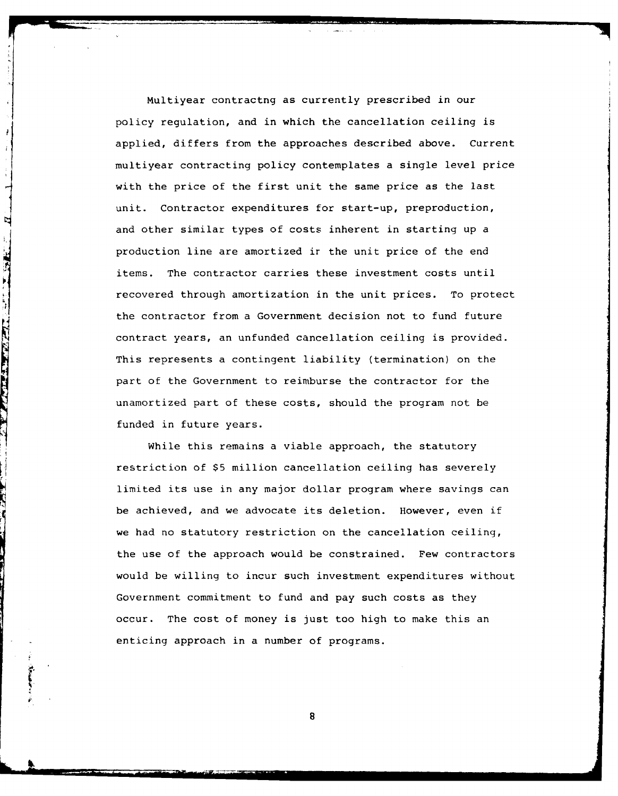Multiyear contractng as currently prescribed in our policy regulation, and in which the cancellation ceiling is applied, differs from the approaches described above. Current multiyear contracting policy contemplates a single level price with the price of the first unit the same price as the last unit. Contractor expenditures for start-up, preproduction, and other similar types of costs inherent in starting up a production line are amortized ir the unit price of the end items. The contractor carries these investment costs until recovered through amortization in the unit prices. To protect the contractor from a Government decision not to fund future contract years, an unfunded cancellation ceiling is provided. This represents a contingent liability (termination) on the part of the Government to reimburse the contractor for the unamortized part of these costs, should the program not be funded in future years.

While this remains a viable approach, the statutory restriction of \$5 million cancellation ceiling has severely limited its use in any major dollar program where savings can be achieved, and we advocate its deletion. However, even if we had no statutory restriction on the cancellation ceiling, the use of the approach would be constrained. Few contractors would be willing to incur such investment expenditures without Government commitment to fund and pay such costs as they occur. The cost of money is just too high to make this an enticing approach in a number of programs.

8

*6*

j

Å H

Ŋ

**CIRADIANA**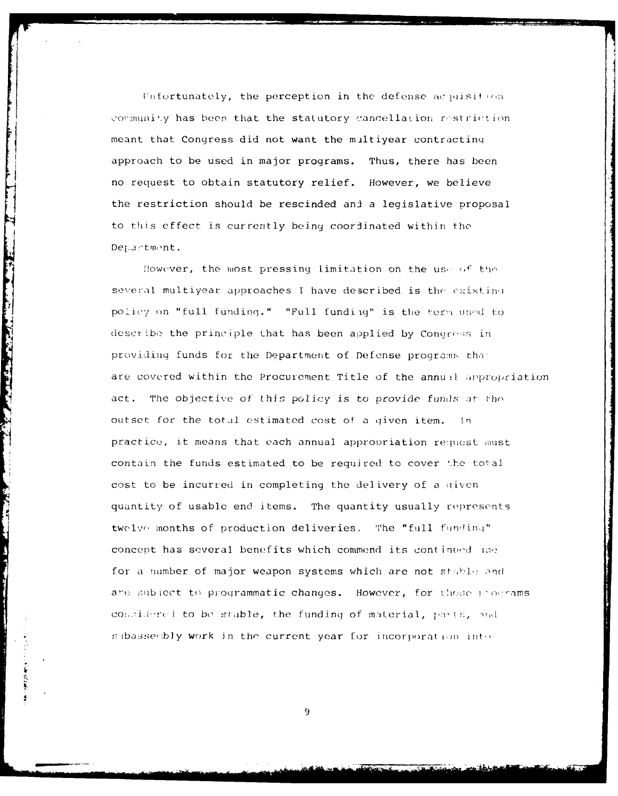Unfortunately, the perception in the defense acquisition community has been that the statutory cancellation restriction meant that Congress did not want the miltiyear contractinq approach to be used in major programs. Thus, there has been no request to obtain statutory relief. However, we believe the restriction should be rescinded and a legislative proposal to this effect is currently being coordinated within the Department.

The company of the company of the company of

 $\mathcal{L}(\mathcal{L})$ 

ĵ

However, the most pressing limitation on the use of the several multiyear approaches I have described is the existing policy on "full funding." "Full funding" is the term used to describe the principle that has been applied by Congress in providing funds for the Department of Defense programs that are covered within the Procurement Title of the annual appropriation act. The objective of this policy is to provide funds *at* tho outset for the total estimated cost of a given item. In practice, it means that each annual appropriation request must contain the funds estimated to be required to cover the total cost to be incurred in completing the delivery of a given quantity of usable end items. The quantity usually represents twelve months of production deliveries. The "full funding" concept has several benefits which commend its continued use for a number of major weapon systems which are not  $\text{stab}_{\mathbb{R}^n}$  and are subject to programmatic changes. However, for those programs considered to be stable, the funding of material, parts, and  $s$  ibassesbly work in the current year for incorporation into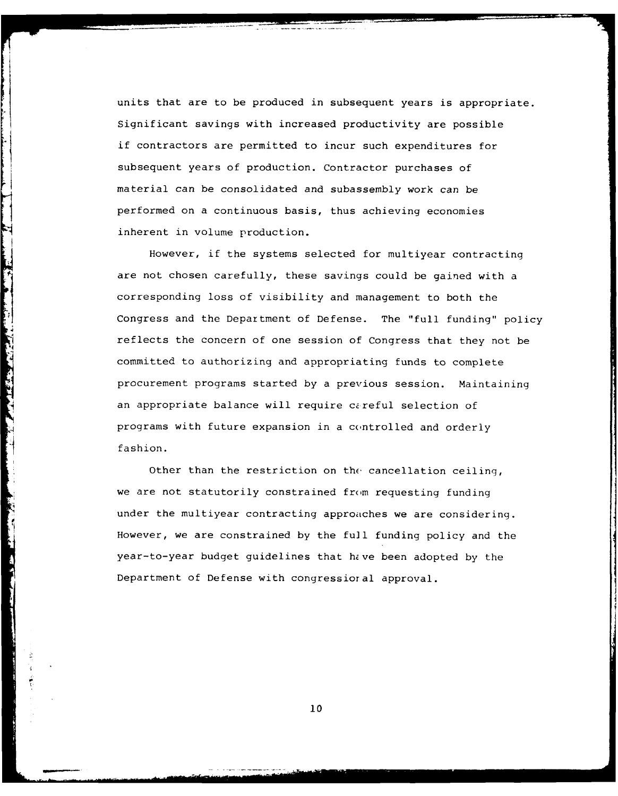units that are to be produced in subsequent years is appropriate. Significant savings with increased productivity are possible if contractors are permitted to incur such expenditures for subsequent years of production. Contractor purchases of material can be consolidated and subassembly work can be performed on a continuous basis, thus achieving economies inherent in volume production.

However, if the systems selected for multiyear contracting are not chosen carefully, these savings could be gained with a corresponding loss of visibility and management to both the Congress and the Department of Defense. The "full funding" policy reflects the concern of one session of Congress that they not be committed to authorizing and appropriating funds to complete procurement programs started by a previous session. Maintaining an appropriate balance will require careful selection of programs with future expansion in a controlled and orderly fashion.

**Communication** 

**THE STATE OF STATE** 

Other than the restriction on **the** cancellation ceiling, we are not statutorily constrained from requesting funding under the multiyear contracting approaches we are considering. However, we are constrained by the full funding policy and the year-to-year budget guidelines that hive been adopted by the Department of Defense with congressioral approval.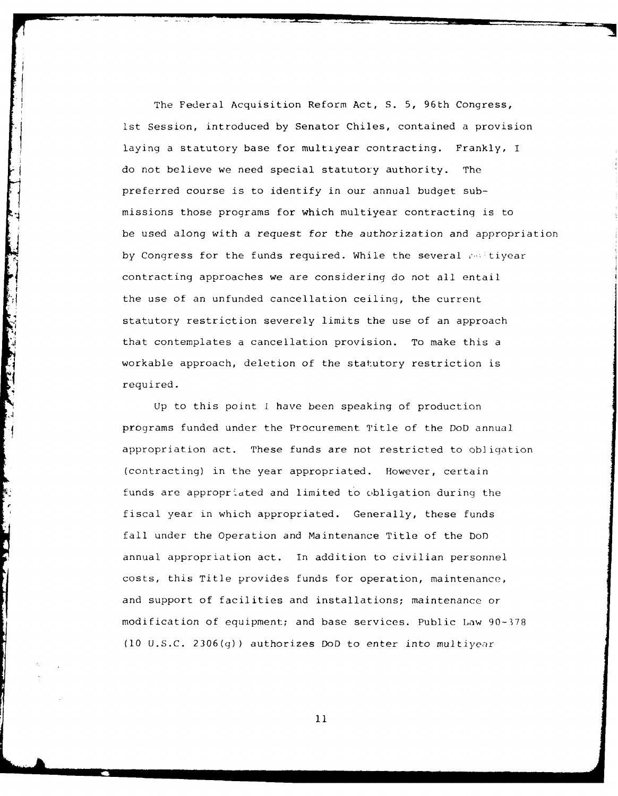The Federal Acquisition Reform Act, S. 5, 96th Congress, Ist Session, introduced by Senator Chiles, contained a provision laying a statutory base for multiyear contracting. Frankly, I do not believe we need special statutory authority. The preferred course is to identify in our annual budget submissions those programs for which multiyear contracting is to be used along with a request for the authorization and appropriation by Congress for the funds required. While the several multiyear contracting approaches we are considering do not all entail the use of an unfunded cancellation ceiling, the current statutory restriction severely limits the use of an approach that contemplates a cancellation provision. To make this a workable approach, deletion of the statutory restriction is required.

**Up** to this point i have been speaking of production programs funded under the Procurement Title of the DoD annual appropriation act. These funds are not restricted to obligation (contracting) in the year appropriated. However, certain funds are appropriated and limited to obligation during the fiscal year in which appropriated. Generally, these funds fall under the Operation and Maintenance Title of the DoD annual appropriation act. In addition to civilian personnel costs, this Title provides funds for operation, maintenance, and support of facilities and installations; maintenance or modification of equipment; and base services. Public Law 90-378 (10 U.S.C. 2306(g)) authorizes DoD to enter into multiyear

ķ.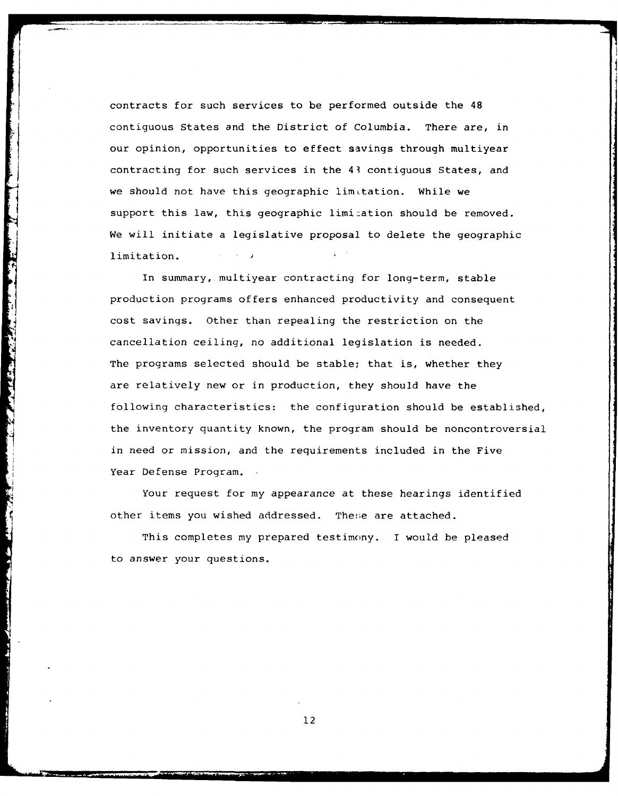contracts for such services to be performed outside the 48 contiguous States and the District of Columbia. There are, in our opinion, opportunities to effect savings through multiyear contracting for such services in the 43 contiguous States, and we should not have this geographic limitation. While we support this law, this geographic limi:ation should be removed. We will initiate a legislative proposal to delete the geographic limitation.

In summary, multiyear contracting for long-term, stable production programs offers enhanced productivity and consequent cost savings. Other than repealing the restriction on the cancellation ceiling, no additional legislation is needed. The programs selected should be stable; that is, whether they are relatively new or in production, they should have the following characteristics: the configuration should be established, the inventory quantity known, the program should be noncontroversial in need or mission, and the requirements included in the Five Year Defense Program.

**CONTRACTOR** 

ķ.

Your request for my appearance at these hearings identified other items you wished addressed. These are attached.

This completes my prepared testimony. I would be pleased to answer your questions.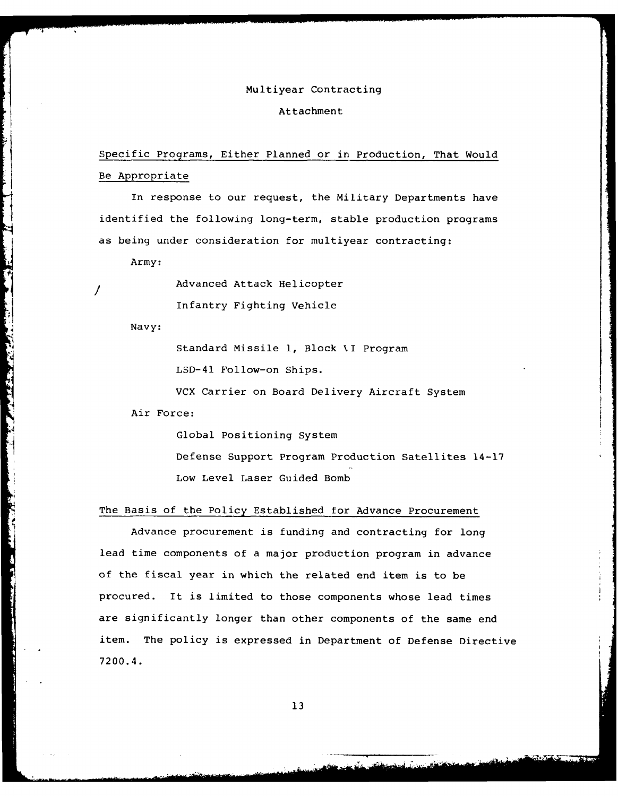## Multiyear Contracting

#### Attachment

# Specific Programs, Either Planned or in Production, That Would Be Appropriate

In response to our request, the Military Departments have identified the following long-term, stable production programs as being under consideration for multiyear contracting:

Army:

Advanced Attack Helicopter Infantry Fighting Vehicle

Navy:

 $\prime$ 

LSD-41 Follow-on Ships.

VCX Carrier on Board Delivery Aircraft System

Air Force:

Global Positioning System Defense Support Program Production Satellites 14-17 Low Level Laser Guided Bomb

## The Basis of the Policy Established for Advance Procurement

**5 + 1 Follow-on Ships.**<br>
4 **4 Follow-on Ships.**<br>
4 **4 Follow-on Ships.**<br>
4 **4 Force:**<br>
4 **Air Force:**<br>
4 **Air Force:**<br>
4 **Air Force:**<br>
4 **Air Force:**<br>
4 **Dobal Positioning System**<br>
1 **Defense Support Program Production S:** Advance procurement is funding and contracting for long lead time components of a major production program in advance of the fiscal year in which the related end item is to be procured. It is limited to those components whose lead times are significantly longer than other components of the same end item. The policy is expressed in Department of Defense Directive 7200.4.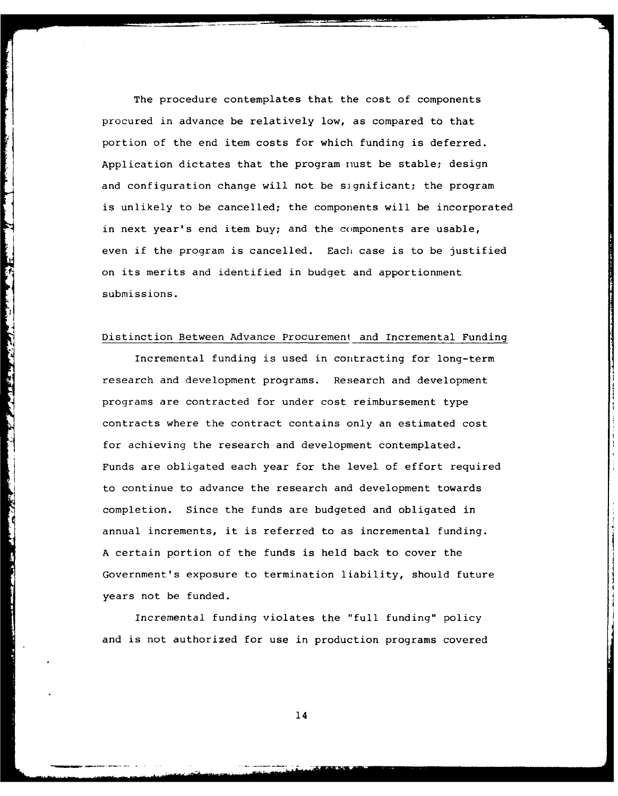The procedure contemplates that the cost of components procured in advance be relatively low, as compared to that portion of the end item costs for which funding is deferred. Application dictates that the program nust be stable; design and configuration change will not be significant; the program is unlikely to be cancelled; the components will be incorporated in next year's end item buy; and the components are usable, even if the program is cancelled. Each case is to be justified on its merits and identified in budget and apportionment submissions.

N

**Company of the Company of the Company of the Company of the Company of the Company of the Company of the Compa** 

**Contract of Contract of Contract of Contract of Contract of Contract of Contract of Contract of Contract of Contract of Contract of Contract of Contract of Contract of Contract of Contract of Contract of Contract of Contr** 

i<br>B

### Distinction Between Advance Procurement and Incremental Funding

Incremental funding is used in contracting for long-term research and development programs. Research and development programs are contracted for under cost reimbursement type contracts where the contract contains only an estimated cost for achieving the research and development contemplated. Funds are obligated each year for the level of effort required to continue to advance the research and development towards completion. Since the funds are budgeted and obligated in annual increments, it is referred to as incremental funding. A certain portion of the funds is held back to cover the Government's exposure to termination liability, should future years not be funded.

Incremental funding violates the "full funding" policy and is not authorized for use in production programs covered